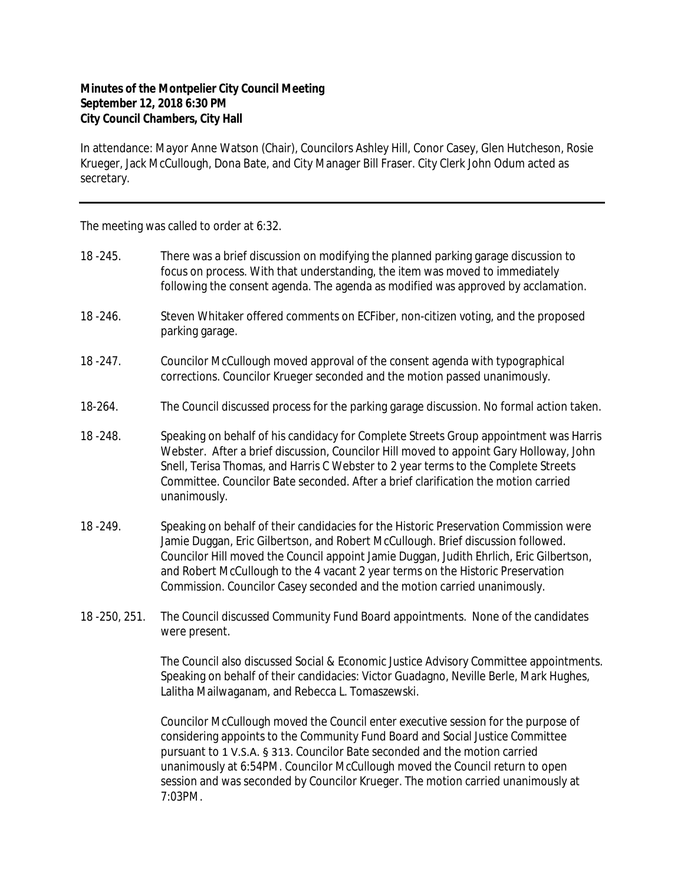## **Minutes of the Montpelier City Council Meeting September 12, 2018 6:30 PM City Council Chambers, City Hall**

In attendance: Mayor Anne Watson (Chair), Councilors Ashley Hill, Conor Casey, Glen Hutcheson, Rosie Krueger, Jack McCullough, Dona Bate, and City Manager Bill Fraser. City Clerk John Odum acted as secretary.

The meeting was called to order at 6:32.

- 18 -245. There was a brief discussion on modifying the planned parking garage discussion to focus on process. With that understanding, the item was moved to immediately following the consent agenda. The agenda as modified was approved by acclamation.
- 18 -246. Steven Whitaker offered comments on ECFiber, non-citizen voting, and the proposed parking garage.
- 18 -247. Councilor McCullough moved approval of the consent agenda with typographical corrections. Councilor Krueger seconded and the motion passed unanimously.
- 18-264. The Council discussed process for the parking garage discussion. No formal action taken.
- 18 -248. Speaking on behalf of his candidacy for Complete Streets Group appointment was Harris Webster. After a brief discussion, Councilor Hill moved to appoint Gary Holloway, John Snell, Terisa Thomas, and Harris C Webster to 2 year terms to the Complete Streets Committee. Councilor Bate seconded. After a brief clarification the motion carried unanimously.
- 18 -249. Speaking on behalf of their candidacies for the Historic Preservation Commission were Jamie Duggan, Eric Gilbertson, and Robert McCullough. Brief discussion followed. Councilor Hill moved the Council appoint Jamie Duggan, Judith Ehrlich, Eric Gilbertson, and Robert McCullough to the 4 vacant 2 year terms on the Historic Preservation Commission. Councilor Casey seconded and the motion carried unanimously.
- 18 -250, 251. The Council discussed Community Fund Board appointments. None of the candidates were present.

The Council also discussed Social & Economic Justice Advisory Committee appointments. Speaking on behalf of their candidacies: Victor Guadagno, Neville Berle, Mark Hughes, Lalitha Mailwaganam, and Rebecca L. Tomaszewski.

Councilor McCullough moved the Council enter executive session for the purpose of considering appoints to the Community Fund Board and Social Justice Committee pursuant to 1 V.S.A. § 313. Councilor Bate seconded and the motion carried unanimously at 6:54PM. Councilor McCullough moved the Council return to open session and was seconded by Councilor Krueger. The motion carried unanimously at 7:03PM.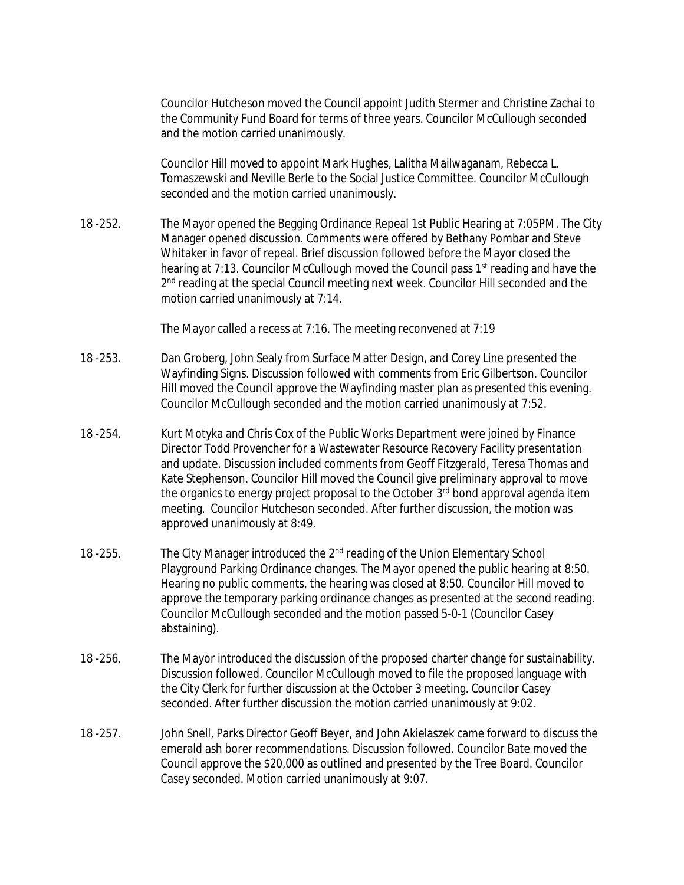Councilor Hutcheson moved the Council appoint Judith Stermer and Christine Zachai to the Community Fund Board for terms of three years. Councilor McCullough seconded and the motion carried unanimously.

Councilor Hill moved to appoint Mark Hughes, Lalitha Mailwaganam, Rebecca L. Tomaszewski and Neville Berle to the Social Justice Committee. Councilor McCullough seconded and the motion carried unanimously.

18 -252. The Mayor opened the Begging Ordinance Repeal 1st Public Hearing at 7:05PM. The City Manager opened discussion. Comments were offered by Bethany Pombar and Steve Whitaker in favor of repeal. Brief discussion followed before the Mayor closed the hearing at 7:13. Councilor McCullough moved the Council pass 1<sup>st</sup> reading and have the 2<sup>nd</sup> reading at the special Council meeting next week. Councilor Hill seconded and the motion carried unanimously at 7:14.

The Mayor called a recess at 7:16. The meeting reconvened at 7:19

- 18 -253. Dan Groberg, John Sealy from Surface Matter Design, and Corey Line presented the Wayfinding Signs. Discussion followed with comments from Eric Gilbertson. Councilor Hill moved the Council approve the Wayfinding master plan as presented this evening. Councilor McCullough seconded and the motion carried unanimously at 7:52.
- 18 -254. Kurt Motyka and Chris Cox of the Public Works Department were joined by Finance Director Todd Provencher for a Wastewater Resource Recovery Facility presentation and update. Discussion included comments from Geoff Fitzgerald, Teresa Thomas and Kate Stephenson. Councilor Hill moved the Council give preliminary approval to move the organics to energy project proposal to the October 3<sup>rd</sup> bond approval agenda item meeting. Councilor Hutcheson seconded. After further discussion, the motion was approved unanimously at 8:49.
- 18 -255. The City Manager introduced the 2<sup>nd</sup> reading of the Union Elementary School Playground Parking Ordinance changes. The Mayor opened the public hearing at 8:50. Hearing no public comments, the hearing was closed at 8:50. Councilor Hill moved to approve the temporary parking ordinance changes as presented at the second reading. Councilor McCullough seconded and the motion passed 5-0-1 (Councilor Casey abstaining).
- 18 -256. The Mayor introduced the discussion of the proposed charter change for sustainability. Discussion followed. Councilor McCullough moved to file the proposed language with the City Clerk for further discussion at the October 3 meeting. Councilor Casey seconded. After further discussion the motion carried unanimously at 9:02.
- 18 -257. John Snell, Parks Director Geoff Beyer, and John Akielaszek came forward to discuss the emerald ash borer recommendations. Discussion followed. Councilor Bate moved the Council approve the \$20,000 as outlined and presented by the Tree Board. Councilor Casey seconded. Motion carried unanimously at 9:07.